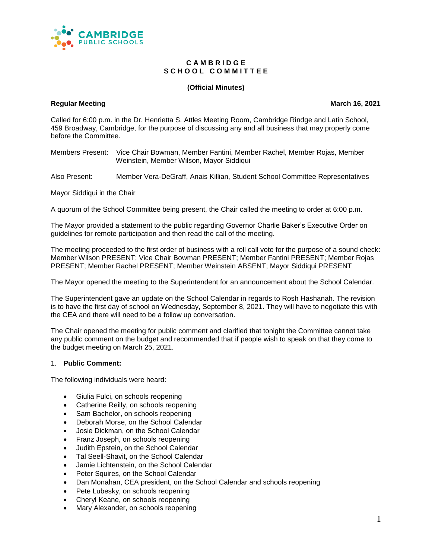

#### **C A M B R I D G E** S C H O O L C O M M I T T E E

## **(Official Minutes)**

#### **Regular Meeting March 16, 2021**

Called for 6:00 p.m. in the Dr. Henrietta S. Attles Meeting Room, Cambridge Rindge and Latin School, 459 Broadway, Cambridge, for the purpose of discussing any and all business that may properly come before the Committee.

Members Present: Vice Chair Bowman, Member Fantini, Member Rachel, Member Rojas, Member Weinstein, Member Wilson, Mayor Siddiqui

Also Present: Member Vera-DeGraff, Anais Killian, Student School Committee Representatives

Mayor Siddiqui in the Chair

A quorum of the School Committee being present, the Chair called the meeting to order at 6:00 p.m.

The Mayor provided a statement to the public regarding Governor Charlie Baker's Executive Order on guidelines for remote participation and then read the call of the meeting.

The meeting proceeded to the first order of business with a roll call vote for the purpose of a sound check: Member Wilson PRESENT; Vice Chair Bowman PRESENT; Member Fantini PRESENT; Member Rojas PRESENT; Member Rachel PRESENT; Member Weinstein ABSENT; Mayor Siddiqui PRESENT

The Mayor opened the meeting to the Superintendent for an announcement about the School Calendar.

The Superintendent gave an update on the School Calendar in regards to Rosh Hashanah. The revision is to have the first day of school on Wednesday, September 8, 2021. They will have to negotiate this with the CEA and there will need to be a follow up conversation.

The Chair opened the meeting for public comment and clarified that tonight the Committee cannot take any public comment on the budget and recommended that if people wish to speak on that they come to the budget meeting on March 25, 2021.

#### 1. **Public Comment:**

The following individuals were heard:

- Giulia Fulci, on schools reopening
- Catherine Reilly, on schools reopening
- Sam Bachelor, on schools reopening
- Deborah Morse, on the School Calendar
- Josie Dickman, on the School Calendar
- Franz Joseph, on schools reopening
- Judith Epstein, on the School Calendar
- Tal Seell-Shavit, on the School Calendar
- Jamie Lichtenstein, on the School Calendar
- Peter Squires, on the School Calendar
- Dan Monahan, CEA president, on the School Calendar and schools reopening
- Pete Lubesky, on schools reopening
- Cheryl Keane, on schools reopening
- Mary Alexander, on schools reopening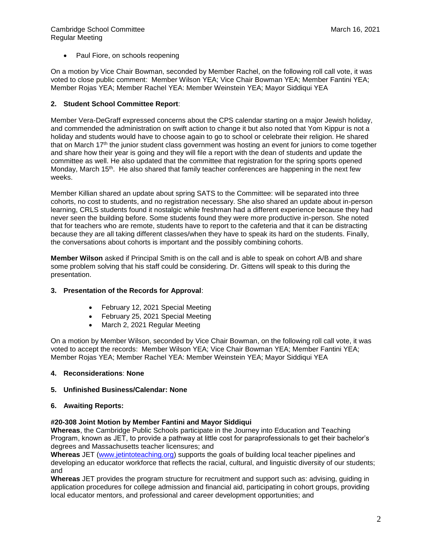• Paul Fiore, on schools reopening

On a motion by Vice Chair Bowman, seconded by Member Rachel, on the following roll call vote, it was voted to close public comment: Member Wilson YEA; Vice Chair Bowman YEA; Member Fantini YEA; Member Rojas YEA; Member Rachel YEA: Member Weinstein YEA; Mayor Siddiqui YEA

## **2. Student School Committee Report**:

Member Vera-DeGraff expressed concerns about the CPS calendar starting on a major Jewish holiday, and commended the administration on swift action to change it but also noted that Yom Kippur is not a holiday and students would have to choose again to go to school or celebrate their religion. He shared that on March 17<sup>th</sup> the junior student class government was hosting an event for juniors to come together and share how their year is going and they will file a report with the dean of students and update the committee as well. He also updated that the committee that registration for the spring sports opened Monday, March 15<sup>th</sup>. He also shared that family teacher conferences are happening in the next few weeks.

Member Killian shared an update about spring SATS to the Committee: will be separated into three cohorts, no cost to students, and no registration necessary. She also shared an update about in-person learning, CRLS students found it nostalgic while freshman had a different experience because they had never seen the building before. Some students found they were more productive in-person. She noted that for teachers who are remote, students have to report to the cafeteria and that it can be distracting because they are all taking different classes/when they have to speak its hard on the students. Finally, the conversations about cohorts is important and the possibly combining cohorts.

**Member Wilson** asked if Principal Smith is on the call and is able to speak on cohort A/B and share some problem solving that his staff could be considering. Dr. Gittens will speak to this during the presentation.

## **3. Presentation of the Records for Approval**:

- February 12, 2021 Special Meeting
- February 25, 2021 Special Meeting
- March 2, 2021 Regular Meeting

On a motion by Member Wilson, seconded by Vice Chair Bowman, on the following roll call vote, it was voted to accept the records: Member Wilson YEA; Vice Chair Bowman YEA; Member Fantini YEA; Member Rojas YEA; Member Rachel YEA: Member Weinstein YEA; Mayor Siddiqui YEA

## **4. Reconsiderations**: **None**

## **5. Unfinished Business/Calendar: None**

## **6. Awaiting Reports:**

## **#20-308 Joint Motion by Member Fantini and Mayor Siddiqui**

**Whereas**, the Cambridge Public Schools participate in the Journey into Education and Teaching Program, known as JET, to provide a pathway at little cost for paraprofessionals to get their bachelor's degrees and Massachusetts teacher licensures; and

**Whereas** JET [\(www.jetintoteaching.org\)](http://www.jetintoteaching.org/) supports the goals of building local teacher pipelines and developing an educator workforce that reflects the racial, cultural, and linguistic diversity of our students; and

**Whereas** JET provides the program structure for recruitment and support such as: advising, guiding in application procedures for college admission and financial aid, participating in cohort groups, providing local educator mentors, and professional and career development opportunities; and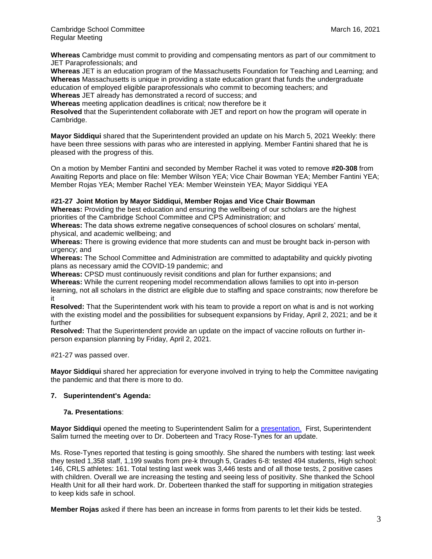**Whereas** Cambridge must commit to providing and compensating mentors as part of our commitment to JET Paraprofessionals; and

**Whereas** JET is an education program of the Massachusetts Foundation for Teaching and Learning; and **Whereas** Massachusetts is unique in providing a state education grant that funds the undergraduate education of employed eligible paraprofessionals who commit to becoming teachers; and

**Whereas** JET already has demonstrated a record of success; and

**Whereas** meeting application deadlines is critical; now therefore be it

**Resolved** that the Superintendent collaborate with JET and report on how the program will operate in Cambridge.

**Mayor Siddiqui** shared that the Superintendent provided an update on his March 5, 2021 Weekly: there have been three sessions with paras who are interested in applying. Member Fantini shared that he is pleased with the progress of this.

On a motion by Member Fantini and seconded by Member Rachel it was voted to remove **#20-308** from Awaiting Reports and place on file: Member Wilson YEA; Vice Chair Bowman YEA; Member Fantini YEA; Member Rojas YEA; Member Rachel YEA: Member Weinstein YEA; Mayor Siddiqui YEA

## **#21-27 Joint Motion by Mayor Siddiqui, Member Rojas and Vice Chair Bowman**

**Whereas:** Providing the best education and ensuring the wellbeing of our scholars are the highest priorities of the Cambridge School Committee and CPS Administration; and

**Whereas:** The data shows extreme negative consequences of school closures on scholars' mental, physical, and academic wellbeing; and

**Whereas:** There is growing evidence that more students can and must be brought back in-person with urgency; and

**Whereas:** The School Committee and Administration are committed to adaptability and quickly pivoting plans as necessary amid the COVID-19 pandemic; and

**Whereas:** CPSD must continuously revisit conditions and plan for further expansions; and

**Whereas:** While the current reopening model recommendation allows families to opt into in-person learning, not all scholars in the district are eligible due to staffing and space constraints; now therefore be it

**Resolved:** That the Superintendent work with his team to provide a report on what is and is not working with the existing model and the possibilities for subsequent expansions by Friday, April 2, 2021; and be it further

**Resolved:** That the Superintendent provide an update on the impact of vaccine rollouts on further inperson expansion planning by Friday, April 2, 2021.

#21-27 was passed over.

**Mayor Siddiqui** shared her appreciation for everyone involved in trying to help the Committee navigating the pandemic and that there is more to do.

## **7. Superintendent's Agenda:**

## **7a. Presentations**:

**Mayor Siddiqui** opened the meeting to Superintendent Salim for a [presentation.](https://docs.google.com/presentation/d/10EbvrVzwNG8zYBnAxagTjtEqdLDJ9Y5qXZ9KOqIvm-E/edit#slide=id.g79d4cad3c3_0_0) First, Superintendent Salim turned the meeting over to Dr. Doberteen and Tracy Rose-Tynes for an update.

Ms. Rose-Tynes reported that testing is going smoothly. She shared the numbers with testing: last week they tested 1,358 staff, 1,199 swabs from pre-k through 5, Grades 6-8: tested 494 students, High school: 146, CRLS athletes: 161. Total testing last week was 3,446 tests and of all those tests, 2 positive cases with children. Overall we are increasing the testing and seeing less of positivity. She thanked the School Health Unit for all their hard work. Dr. Doberteen thanked the staff for supporting in mitigation strategies to keep kids safe in school.

**Member Rojas** asked if there has been an increase in forms from parents to let their kids be tested.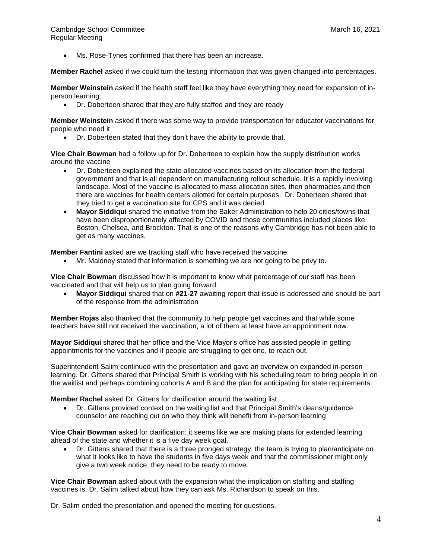Ms. Rose-Tynes confirmed that there has been an increase.

**Member Rachel** asked if we could turn the testing information that was given changed into percentages.

**Member Weinstein** asked if the health staff feel like they have everything they need for expansion of inperson learning

• Dr. Doberteen shared that they are fully staffed and they are ready

**Member Weinstein** asked if there was some way to provide transportation for educator vaccinations for people who need it

• Dr. Doberteen stated that they don't have the ability to provide that.

**Vice Chair Bowman** had a follow up for Dr. Doberteen to explain how the supply distribution works around the vaccine

- Dr. Doberteen explained the state allocated vaccines based on its allocation from the federal government and that is all dependent on manufacturing rollout schedule. It is a rapidly involving landscape. Most of the vaccine is allocated to mass allocation sites, then pharmacies and then there are vaccines for health centers allotted for certain purposes. Dr. Doberteen shared that they tried to get a vaccination site for CPS and it was denied.
- **Mayor Siddiqui** shared the initiative from the Baker Administration to help 20 cities/towns that have been disproportionately affected by COVID and those communities included places like Boston, Chelsea, and Brockton. That is one of the reasons why Cambridge has not been able to get as many vaccines.

**Member Fantini** asked are we tracking staff who have received the vaccine.

• Mr. Maloney stated that information is something we are not going to be privy to.

**Vice Chair Bowman** discussed how it is important to know what percentage of our staff has been vaccinated and that will help us to plan going forward.

• **Mayor Siddiqui** shared that on **#21-27** awaiting report that issue is addressed and should be part of the response from the administration

**Member Rojas** also thanked that the community to help people get vaccines and that while some teachers have still not received the vaccination, a lot of them at least have an appointment now.

**Mayor Siddiqui** shared that her office and the Vice Mayor's office has assisted people in getting appointments for the vaccines and if people are struggling to get one, to reach out.

Superintendent Salim continued with the presentation and gave an overview on expanded in-person learning. Dr. Gittens shared that Principal Smith is working with his scheduling team to bring people in on the waitlist and perhaps combining cohorts A and B and the plan for anticipating for state requirements.

**Member Rachel** asked Dr. Gittens for clarification around the waiting list

• Dr. Gittens provided context on the waiting list and that Principal Smith's deans/guidance counselor are reaching out on who they think will benefit from in-person learning

**Vice Chair Bowman** asked for clarification: it seems like we are making plans for extended learning ahead of the state and whether it is a five day week goal.

• Dr. Gittens shared that there is a three pronged strategy, the team is trying to plan/anticipate on what it looks like to have the students in five days week and that the commissioner might only give a two week notice; they need to be ready to move.

**Vice Chair Bowman** asked about with the expansion what the implication on staffing and staffing vaccines is. Dr. Salim talked about how they can ask Ms. Richardson to speak on this.

Dr. Salim ended the presentation and opened the meeting for questions.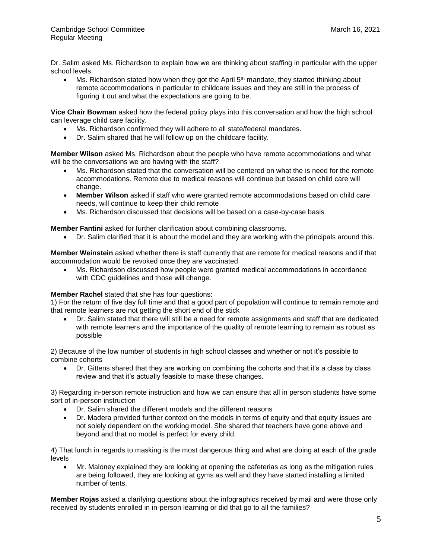Dr. Salim asked Ms. Richardson to explain how we are thinking about staffing in particular with the upper school levels.

Ms. Richardson stated how when they got the April  $5<sup>th</sup>$  mandate, they started thinking about remote accommodations in particular to childcare issues and they are still in the process of figuring it out and what the expectations are going to be.

**Vice Chair Bowman** asked how the federal policy plays into this conversation and how the high school can leverage child care facility.

- Ms. Richardson confirmed they will adhere to all state/federal mandates.
- Dr. Salim shared that he will follow up on the childcare facility.

**Member Wilson** asked Ms. Richardson about the people who have remote accommodations and what will be the conversations we are having with the staff?

- Ms. Richardson stated that the conversation will be centered on what the is need for the remote accommodations. Remote due to medical reasons will continue but based on child care will change.
- **Member Wilson** asked if staff who were granted remote accommodations based on child care needs, will continue to keep their child remote
- Ms. Richardson discussed that decisions will be based on a case-by-case basis

**Member Fantini** asked for further clarification about combining classrooms.

• Dr. Salim clarified that it is about the model and they are working with the principals around this.

**Member Weinstein** asked whether there is staff currently that are remote for medical reasons and if that accommodation would be revoked once they are vaccinated

• Ms. Richardson discussed how people were granted medical accommodations in accordance with CDC guidelines and those will change.

## **Member Rachel** stated that she has four questions:

1) For the return of five day full time and that a good part of population will continue to remain remote and that remote learners are not getting the short end of the stick

• Dr. Salim stated that there will still be a need for remote assignments and staff that are dedicated with remote learners and the importance of the quality of remote learning to remain as robust as possible

2) Because of the low number of students in high school classes and whether or not it's possible to combine cohorts

• Dr. Gittens shared that they are working on combining the cohorts and that it's a class by class review and that it's actually feasible to make these changes.

3) Regarding in-person remote instruction and how we can ensure that all in person students have some sort of in-person instruction

- Dr. Salim shared the different models and the different reasons
- Dr. Madera provided further context on the models in terms of equity and that equity issues are not solely dependent on the working model. She shared that teachers have gone above and beyond and that no model is perfect for every child.

4) That lunch in regards to masking is the most dangerous thing and what are doing at each of the grade levels

• Mr. Maloney explained they are looking at opening the cafeterias as long as the mitigation rules are being followed, they are looking at gyms as well and they have started installing a limited number of tents.

**Member Rojas** asked a clarifying questions about the infographics received by mail and were those only received by students enrolled in in-person learning or did that go to all the families?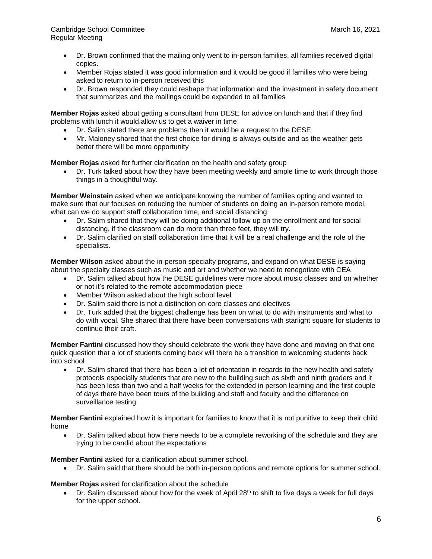- Dr. Brown confirmed that the mailing only went to in-person families, all families received digital copies.
- Member Rojas stated it was good information and it would be good if families who were being asked to return to in-person received this
- Dr. Brown responded they could reshape that information and the investment in safety document that summarizes and the mailings could be expanded to all families

**Member Rojas** asked about getting a consultant from DESE for advice on lunch and that if they find problems with lunch it would allow us to get a waiver in time

- Dr. Salim stated there are problems then it would be a request to the DESE
- Mr. Maloney shared that the first choice for dining is always outside and as the weather gets better there will be more opportunity

**Member Rojas** asked for further clarification on the health and safety group

• Dr. Turk talked about how they have been meeting weekly and ample time to work through those things in a thoughtful way.

**Member Weinstein** asked when we anticipate knowing the number of families opting and wanted to make sure that our focuses on reducing the number of students on doing an in-person remote model, what can we do support staff collaboration time, and social distancing

- Dr. Salim shared that they will be doing additional follow up on the enrollment and for social distancing, if the classroom can do more than three feet, they will try.
- Dr. Salim clarified on staff collaboration time that it will be a real challenge and the role of the specialists.

**Member Wilson** asked about the in-person specialty programs, and expand on what DESE is saying about the specialty classes such as music and art and whether we need to renegotiate with CEA

- Dr. Salim talked about how the DESE guidelines were more about music classes and on whether or not it's related to the remote accommodation piece
- Member Wilson asked about the high school level
- Dr. Salim said there is not a distinction on core classes and electives
- Dr. Turk added that the biggest challenge has been on what to do with instruments and what to do with vocal. She shared that there have been conversations with starlight square for students to continue their craft.

**Member Fantini** discussed how they should celebrate the work they have done and moving on that one quick question that a lot of students coming back will there be a transition to welcoming students back into school

• Dr. Salim shared that there has been a lot of orientation in regards to the new health and safety protocols especially students that are new to the building such as sixth and ninth graders and it has been less than two and a half weeks for the extended in person learning and the first couple of days there have been tours of the building and staff and faculty and the difference on surveillance testing.

**Member Fantini** explained how it is important for families to know that it is not punitive to keep their child home

• Dr. Salim talked about how there needs to be a complete reworking of the schedule and they are trying to be candid about the expectations

**Member Fantini** asked for a clarification about summer school.

• Dr. Salim said that there should be both in-person options and remote options for summer school.

**Member Rojas** asked for clarification about the schedule

• Dr. Salim discussed about how for the week of April 28<sup>th</sup> to shift to five days a week for full days for the upper school.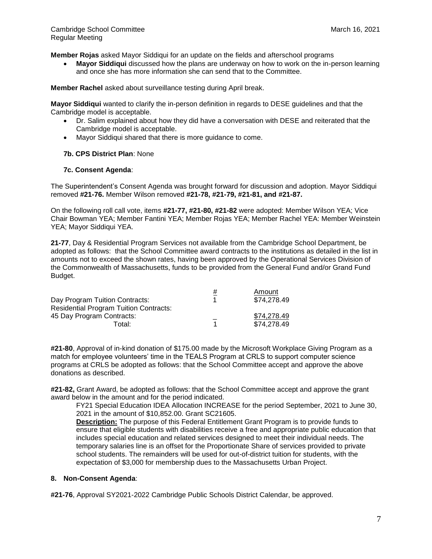**Member Rojas** asked Mayor Siddiqui for an update on the fields and afterschool programs

• **Mayor Siddiqui** discussed how the plans are underway on how to work on the in-person learning and once she has more information she can send that to the Committee.

**Member Rachel** asked about surveillance testing during April break.

**Mayor Siddiqui** wanted to clarify the in-person definition in regards to DESE guidelines and that the Cambridge model is acceptable.

- Dr. Salim explained about how they did have a conversation with DESE and reiterated that the Cambridge model is acceptable.
- Mayor Siddiqui shared that there is more guidance to come.

## **7b. CPS District Plan**: None

#### **7c. Consent Agenda**:

The Superintendent's Consent Agenda was brought forward for discussion and adoption. Mayor Siddiqui removed **#21-76.** Member Wilson removed **#21-78, #21-79, #21-81, and #21-87.**

On the following roll call vote, items **#21-77, #21-80, #21-82** were adopted: Member Wilson YEA; Vice Chair Bowman YEA; Member Fantini YEA; Member Rojas YEA; Member Rachel YEA: Member Weinstein YEA; Mayor Siddiqui YEA.

**21-77**, Day & Residential Program Services not available from the Cambridge School Department, be adopted as follows: that the School Committee award contracts to the institutions as detailed in the list in amounts not to exceed the shown rates, having been approved by the Operational Services Division of the Commonwealth of Massachusetts, funds to be provided from the General Fund and/or Grand Fund Budget.

|                                               | # | Amount      |
|-----------------------------------------------|---|-------------|
| Day Program Tuition Contracts:                |   | \$74,278.49 |
| <b>Residential Program Tuition Contracts:</b> |   |             |
| 45 Day Program Contracts:                     |   | \$74,278.49 |
| Total:                                        |   | \$74,278.49 |

**#21-80**, Approval of in-kind donation of \$175.00 made by the Microsoft Workplace Giving Program as a match for employee volunteers' time in the TEALS Program at CRLS to support computer science programs at CRLS be adopted as follows: that the School Committee accept and approve the above donations as described.

**#21-82,** Grant Award, be adopted as follows: that the School Committee accept and approve the grant award below in the amount and for the period indicated.

FY21 Special Education IDEA Allocation INCREASE for the period September, 2021 to June 30, 2021 in the amount of \$10,852.00. Grant SC21605.

**Description:** The purpose of this Federal Entitlement Grant Program is to provide funds to ensure that eligible students with disabilities receive a free and appropriate public education that includes special education and related services designed to meet their individual needs. The temporary salaries line is an offset for the Proportionate Share of services provided to private school students. The remainders will be used for out-of-district tuition for students, with the expectation of \$3,000 for membership dues to the Massachusetts Urban Project.

## **8. Non-Consent Agenda**:

**#21-76**, Approval SY2021-2022 Cambridge Public Schools District Calendar, be approved.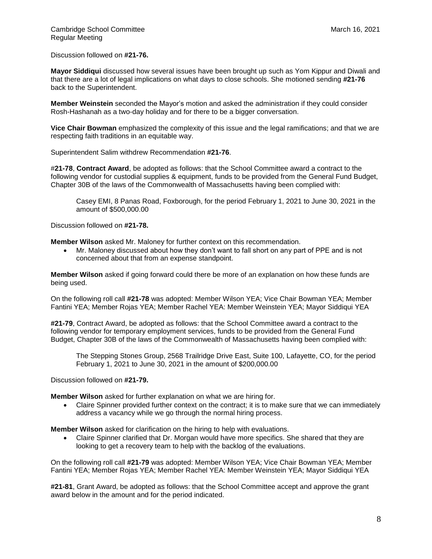Discussion followed on **#21-76.**

**Mayor Siddiqui** discussed how several issues have been brought up such as Yom Kippur and Diwali and that there are a lot of legal implications on what days to close schools. She motioned sending **#21-76** back to the Superintendent.

**Member Weinstein** seconded the Mayor's motion and asked the administration if they could consider Rosh-Hashanah as a two-day holiday and for there to be a bigger conversation.

**Vice Chair Bowman** emphasized the complexity of this issue and the legal ramifications; and that we are respecting faith traditions in an equitable way.

Superintendent Salim withdrew Recommendation **#21-76**.

#**21-78**, **Contract Award**, be adopted as follows: that the School Committee award a contract to the following vendor for custodial supplies & equipment, funds to be provided from the General Fund Budget, Chapter 30B of the laws of the Commonwealth of Massachusetts having been complied with:

Casey EMI, 8 Panas Road, Foxborough, for the period February 1, 2021 to June 30, 2021 in the amount of \$500,000.00

Discussion followed on **#21-78.**

**Member Wilson** asked Mr. Maloney for further context on this recommendation.

• Mr. Maloney discussed about how they don't want to fall short on any part of PPE and is not concerned about that from an expense standpoint.

**Member Wilson** asked if going forward could there be more of an explanation on how these funds are being used.

On the following roll call **#21-78** was adopted: Member Wilson YEA; Vice Chair Bowman YEA; Member Fantini YEA; Member Rojas YEA; Member Rachel YEA: Member Weinstein YEA; Mayor Siddiqui YEA

**#21-79**, Contract Award, be adopted as follows: that the School Committee award a contract to the following vendor for temporary employment services, funds to be provided from the General Fund Budget, Chapter 30B of the laws of the Commonwealth of Massachusetts having been complied with:

The Stepping Stones Group, 2568 Trailridge Drive East, Suite 100, Lafayette, CO, for the period February 1, 2021 to June 30, 2021 in the amount of \$200,000.00

Discussion followed on **#21-79.** 

**Member Wilson** asked for further explanation on what we are hiring for.

• Claire Spinner provided further context on the contract; it is to make sure that we can immediately address a vacancy while we go through the normal hiring process.

**Member Wilson** asked for clarification on the hiring to help with evaluations.

• Claire Spinner clarified that Dr. Morgan would have more specifics. She shared that they are looking to get a recovery team to help with the backlog of the evaluations.

On the following roll call **#21-79** was adopted: Member Wilson YEA; Vice Chair Bowman YEA; Member Fantini YEA; Member Rojas YEA; Member Rachel YEA: Member Weinstein YEA; Mayor Siddiqui YEA

**#21-81**, Grant Award, be adopted as follows: that the School Committee accept and approve the grant award below in the amount and for the period indicated.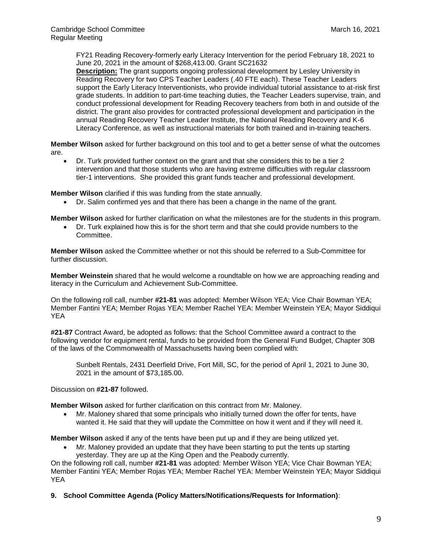FY21 Reading Recovery-formerly early Literacy Intervention for the period February 18, 2021 to June 20, 2021 in the amount of \$268,413.00. Grant SC21632

**Description:** The grant supports ongoing professional development by Lesley University in Reading Recovery for two CPS Teacher Leaders (.40 FTE each). These Teacher Leaders support the Early Literacy Interventionists, who provide individual tutorial assistance to at-risk first grade students. In addition to part-time teaching duties, the Teacher Leaders supervise, train, and conduct professional development for Reading Recovery teachers from both in and outside of the district. The grant also provides for contracted professional development and participation in the annual Reading Recovery Teacher Leader Institute, the National Reading Recovery and K-6 Literacy Conference, as well as instructional materials for both trained and in-training teachers.

**Member Wilson** asked for further background on this tool and to get a better sense of what the outcomes are.

• Dr. Turk provided further context on the grant and that she considers this to be a tier 2 intervention and that those students who are having extreme difficulties with regular classroom tier-1 interventions. She provided this grant funds teacher and professional development.

**Member Wilson** clarified if this was funding from the state annually.

• Dr. Salim confirmed yes and that there has been a change in the name of the grant.

**Member Wilson** asked for further clarification on what the milestones are for the students in this program.

• Dr. Turk explained how this is for the short term and that she could provide numbers to the Committee.

**Member Wilson** asked the Committee whether or not this should be referred to a Sub-Committee for further discussion.

**Member Weinstein** shared that he would welcome a roundtable on how we are approaching reading and literacy in the Curriculum and Achievement Sub-Committee.

On the following roll call, number **#21-81** was adopted: Member Wilson YEA; Vice Chair Bowman YEA; Member Fantini YEA; Member Rojas YEA; Member Rachel YEA: Member Weinstein YEA; Mayor Siddiqui YEA

**#21-87** Contract Award, be adopted as follows: that the School Committee award a contract to the following vendor for equipment rental, funds to be provided from the General Fund Budget, Chapter 30B of the laws of the Commonwealth of Massachusetts having been complied with:

Sunbelt Rentals, 2431 Deerfield Drive, Fort Mill, SC, for the period of April 1, 2021 to June 30, 2021 in the amount of \$73,185.00.

Discussion on **#21-87** followed.

**Member Wilson** asked for further clarification on this contract from Mr. Maloney.

• Mr. Maloney shared that some principals who initially turned down the offer for tents, have wanted it. He said that they will update the Committee on how it went and if they will need it.

**Member Wilson** asked if any of the tents have been put up and if they are being utilized yet.

• Mr. Maloney provided an update that they have been starting to put the tents up starting yesterday. They are up at the King Open and the Peabody currently.

On the following roll call, number **#21-81** was adopted: Member Wilson YEA; Vice Chair Bowman YEA; Member Fantini YEA; Member Rojas YEA; Member Rachel YEA: Member Weinstein YEA; Mayor Siddiqui YEA

**9. School Committee Agenda (Policy Matters/Notifications/Requests for Information)**: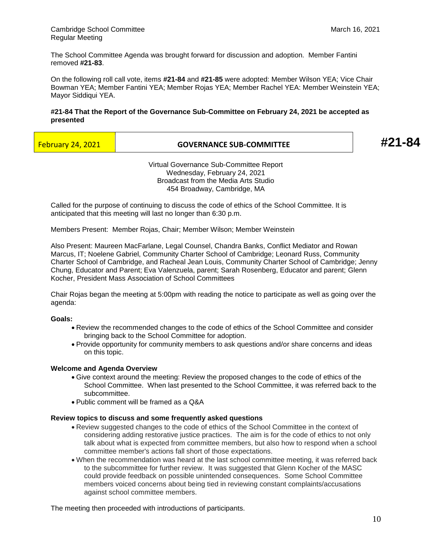The School Committee Agenda was brought forward for discussion and adoption. Member Fantini removed **#21-83**.

On the following roll call vote, items **#21-84** and **#21-85** were adopted: Member Wilson YEA; Vice Chair Bowman YEA; Member Fantini YEA; Member Rojas YEA; Member Rachel YEA: Member Weinstein YEA; Mayor Siddiqui YEA.

## **#21-84 That the Report of the Governance Sub-Committee on February 24, 2021 be accepted as presented**

| <b>February 24, 2021</b> |  |
|--------------------------|--|
|                          |  |

## February 24, 2021 **GOVERNANCE SUB-COMMITTEE #21-84**

Virtual Governance Sub-Committee Report Wednesday, February 24, 2021 Broadcast from the Media Arts Studio 454 Broadway, Cambridge, MA

Called for the purpose of continuing to discuss the code of ethics of the School Committee. It is anticipated that this meeting will last no longer than 6:30 p.m.

Members Present: Member Rojas, Chair; Member Wilson; Member Weinstein

Also Present: Maureen MacFarlane, Legal Counsel, Chandra Banks, Conflict Mediator and Rowan Marcus, IT; Noelene Gabriel, Community Charter School of Cambridge; Leonard Russ, Community Charter School of Cambridge, and Racheal Jean Louis, Community Charter School of Cambridge; Jenny Chung, Educator and Parent; Eva Valenzuela, parent; Sarah Rosenberg, Educator and parent; Glenn Kocher, President Mass Association of School Committees

Chair Rojas began the meeting at 5:00pm with reading the notice to participate as well as going over the agenda:

## **Goals:**

- Review the recommended changes to the code of ethics of the School Committee and consider bringing back to the School Committee for adoption.
- Provide opportunity for community members to ask questions and/or share concerns and ideas on this topic.

## **Welcome and Agenda Overview**

- Give context around the meeting: Review the proposed changes to the code of ethics of the School Committee. When last presented to the School Committee, it was referred back to the subcommittee.
- Public comment will be framed as a Q&A

#### **Review topics to discuss and some frequently asked questions**

- Review suggested changes to the code of ethics of the School Committee in the context of considering adding restorative justice practices. The aim is for the code of ethics to not only talk about what is expected from committee members, but also how to respond when a school committee member's actions fall short of those expectations.
- When the recommendation was heard at the last school committee meeting, it was referred back to the subcommittee for further review. It was suggested that Glenn Kocher of the MASC could provide feedback on possible unintended consequences. Some School Committee members voiced concerns about being tied in reviewing constant complaints/accusations against school committee members.

The meeting then proceeded with introductions of participants.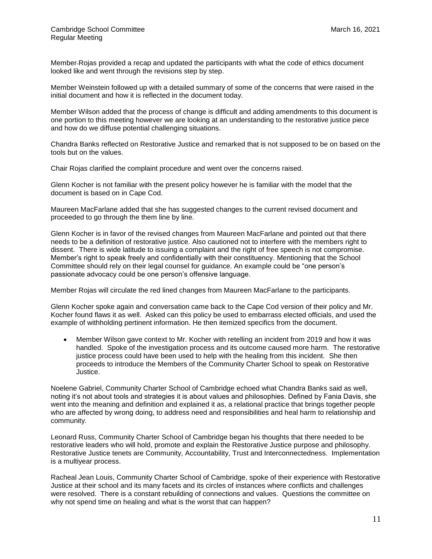Member Rojas provided a recap and updated the participants with what the code of ethics document looked like and went through the revisions step by step.

Member Weinstein followed up with a detailed summary of some of the concerns that were raised in the initial document and how it is reflected in the document today.

Member Wilson added that the process of change is difficult and adding amendments to this document is one portion to this meeting however we are looking at an understanding to the restorative justice piece and how do we diffuse potential challenging situations.

Chandra Banks reflected on Restorative Justice and remarked that is not supposed to be on based on the tools but on the values.

Chair Rojas clarified the complaint procedure and went over the concerns raised.

Glenn Kocher is not familiar with the present policy however he is familiar with the model that the document is based on in Cape Cod.

Maureen MacFarlane added that she has suggested changes to the current revised document and proceeded to go through the them line by line.

Glenn Kocher is in favor of the revised changes from Maureen MacFarlane and pointed out that there needs to be a definition of restorative justice. Also cautioned not to interfere with the members right to dissent. There is wide latitude to issuing a complaint and the right of free speech is not compromise. Member's right to speak freely and confidentially with their constituency. Mentioning that the School Committee should rely on their legal counsel for guidance. An example could be "one person's passionate advocacy could be one person's offensive language.

Member Rojas will circulate the red lined changes from Maureen MacFarlane to the participants.

Glenn Kocher spoke again and conversation came back to the Cape Cod version of their policy and Mr. Kocher found flaws it as well. Asked can this policy be used to embarrass elected officials, and used the example of withholding pertinent information. He then itemized specifics from the document.

• Member Wilson gave context to Mr. Kocher with retelling an incident from 2019 and how it was handled. Spoke of the investigation process and its outcome caused more harm. The restorative justice process could have been used to help with the healing from this incident. She then proceeds to introduce the Members of the Community Charter School to speak on Restorative Justice.

Noelene Gabriel, Community Charter School of Cambridge echoed what Chandra Banks said as well, noting it's not about tools and strategies it is about values and philosophies. Defined by Fania Davis, she went into the meaning and definition and explained it as, a relational practice that brings together people who are affected by wrong doing, to address need and responsibilities and heal harm to relationship and community.

Leonard Russ, Community Charter School of Cambridge began his thoughts that there needed to be restorative leaders who will hold, promote and explain the Restorative Justice purpose and philosophy. Restorative Justice tenets are Community, Accountability, Trust and Interconnectedness. Implementation is a multiyear process.

Racheal Jean Louis, Community Charter School of Cambridge, spoke of their experience with Restorative Justice at their school and its many facets and its circles of instances where conflicts and challenges were resolved. There is a constant rebuilding of connections and values. Questions the committee on why not spend time on healing and what is the worst that can happen?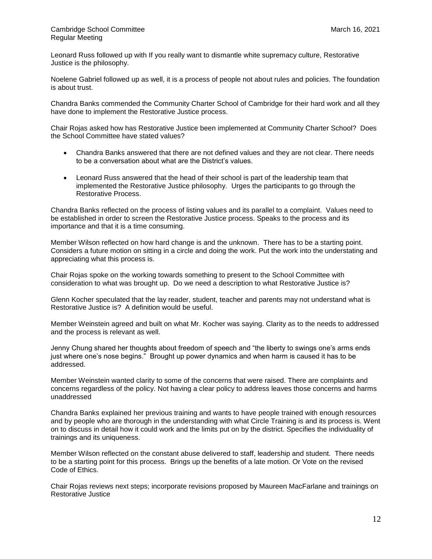Leonard Russ followed up with If you really want to dismantle white supremacy culture, Restorative Justice is the philosophy.

Noelene Gabriel followed up as well, it is a process of people not about rules and policies. The foundation is about trust.

Chandra Banks commended the Community Charter School of Cambridge for their hard work and all they have done to implement the Restorative Justice process.

Chair Rojas asked how has Restorative Justice been implemented at Community Charter School? Does the School Committee have stated values?

- Chandra Banks answered that there are not defined values and they are not clear. There needs to be a conversation about what are the District's values.
- Leonard Russ answered that the head of their school is part of the leadership team that implemented the Restorative Justice philosophy. Urges the participants to go through the Restorative Process.

Chandra Banks reflected on the process of listing values and its parallel to a complaint. Values need to be established in order to screen the Restorative Justice process. Speaks to the process and its importance and that it is a time consuming.

Member Wilson reflected on how hard change is and the unknown. There has to be a starting point. Considers a future motion on sitting in a circle and doing the work. Put the work into the understating and appreciating what this process is.

Chair Rojas spoke on the working towards something to present to the School Committee with consideration to what was brought up. Do we need a description to what Restorative Justice is?

Glenn Kocher speculated that the lay reader, student, teacher and parents may not understand what is Restorative Justice is? A definition would be useful.

Member Weinstein agreed and built on what Mr. Kocher was saying. Clarity as to the needs to addressed and the process is relevant as well.

Jenny Chung shared her thoughts about freedom of speech and "the liberty to swings one's arms ends just where one's nose begins." Brought up power dynamics and when harm is caused it has to be addressed.

Member Weinstein wanted clarity to some of the concerns that were raised. There are complaints and concerns regardless of the policy. Not having a clear policy to address leaves those concerns and harms unaddressed

Chandra Banks explained her previous training and wants to have people trained with enough resources and by people who are thorough in the understanding with what Circle Training is and its process is. Went on to discuss in detail how it could work and the limits put on by the district. Specifies the individuality of trainings and its uniqueness.

Member Wilson reflected on the constant abuse delivered to staff, leadership and student. There needs to be a starting point for this process. Brings up the benefits of a late motion. Or Vote on the revised Code of Ethics.

Chair Rojas reviews next steps; incorporate revisions proposed by Maureen MacFarlane and trainings on Restorative Justice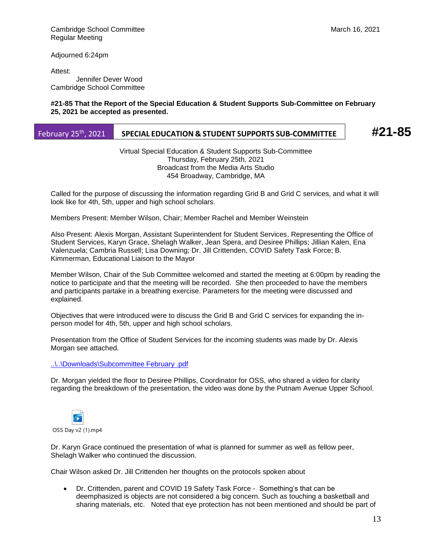Adjourned 6:24pm

Attest:

 Jennifer Dever Wood Cambridge School Committee

#### **#21-85 That the Report of the Special Education & Student Supports Sub-Committee on February 25, 2021 be accepted as presented.**

# February 25th, 2021 **SPECIAL EDUCATION & STUDENT SUPPORTS SUB-COMMITTEE #21-85**

Virtual Special Education & Student Supports Sub-Committee Thursday, February 25th, 2021 Broadcast from the Media Arts Studio 454 Broadway, Cambridge, MA

Called for the purpose of discussing the information regarding Grid B and Grid C services, and what it will look like for 4th, 5th, upper and high school scholars.

Members Present: Member Wilson, Chair; Member Rachel and Member Weinstein

Also Present: Alexis Morgan, Assistant Superintendent for Student Services, Representing the Office of Student Services, Karyn Grace, Shelagh Walker, Jean Spera, and Desiree Phillips; Jillian Kalen, Ena Valenzuela; Cambria Russell; Lisa Downing; Dr. Jill Crittenden, COVID Safety Task Force; B. Kimmerman, Educational Liaison to the Mayor

Member Wilson, Chair of the Sub Committee welcomed and started the meeting at 6:00pm by reading the notice to participate and that the meeting will be recorded. She then proceeded to have the members and participants partake in a breathing exercise. Parameters for the meeting were discussed and explained.

Objectives that were introduced were to discuss the Grid B and Grid C services for expanding the inperson model for 4th, 5th, upper and high school scholars.

Presentation from the Office of Student Services for the incoming students was made by Dr. Alexis Morgan see attached.

## [..\..\Downloads\Subcommittee February .pdf](file:///C:/Users/Downloads/Subcommittee%20February%20.pdf)

Dr. Morgan yielded the floor to Desiree Phillips, Coordinator for OSS, who shared a video for clarity regarding the breakdown of the presentation, the video was done by the Putnam Avenue Upper School.



Dr. Karyn Grace continued the presentation of what is planned for summer as well as fellow peer, Shelagh Walker who continued the discussion.

Chair Wilson asked Dr. Jill Crittenden her thoughts on the protocols spoken about

• Dr. Crittenden, parent and COVID 19 Safety Task Force - Something's that can be deemphasized is objects are not considered a big concern. Such as touching a basketball and sharing materials, etc. Noted that eye protection has not been mentioned and should be part of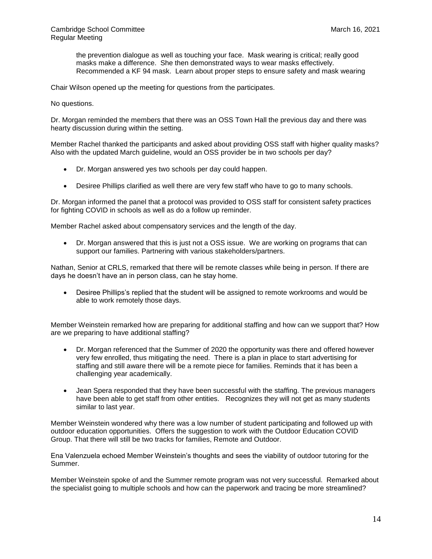the prevention dialogue as well as touching your face. Mask wearing is critical; really good masks make a difference. She then demonstrated ways to wear masks effectively. Recommended a KF 94 mask. Learn about proper steps to ensure safety and mask wearing

Chair Wilson opened up the meeting for questions from the participates.

No questions.

Dr. Morgan reminded the members that there was an OSS Town Hall the previous day and there was hearty discussion during within the setting.

Member Rachel thanked the participants and asked about providing OSS staff with higher quality masks? Also with the updated March guideline, would an OSS provider be in two schools per day?

- Dr. Morgan answered yes two schools per day could happen.
- Desiree Phillips clarified as well there are very few staff who have to go to many schools.

Dr. Morgan informed the panel that a protocol was provided to OSS staff for consistent safety practices for fighting COVID in schools as well as do a follow up reminder.

Member Rachel asked about compensatory services and the length of the day.

• Dr. Morgan answered that this is just not a OSS issue. We are working on programs that can support our families. Partnering with various stakeholders/partners.

Nathan, Senior at CRLS, remarked that there will be remote classes while being in person. If there are days he doesn't have an in person class, can he stay home.

• Desiree Phillips's replied that the student will be assigned to remote workrooms and would be able to work remotely those days.

Member Weinstein remarked how are preparing for additional staffing and how can we support that? How are we preparing to have additional staffing?

- Dr. Morgan referenced that the Summer of 2020 the opportunity was there and offered however very few enrolled, thus mitigating the need. There is a plan in place to start advertising for staffing and still aware there will be a remote piece for families. Reminds that it has been a challenging year academically.
- Jean Spera responded that they have been successful with the staffing. The previous managers have been able to get staff from other entities. Recognizes they will not get as many students similar to last year.

Member Weinstein wondered why there was a low number of student participating and followed up with outdoor education opportunities. Offers the suggestion to work with the Outdoor Education COVID Group. That there will still be two tracks for families, Remote and Outdoor.

Ena Valenzuela echoed Member Weinstein's thoughts and sees the viability of outdoor tutoring for the Summer.

Member Weinstein spoke of and the Summer remote program was not very successful. Remarked about the specialist going to multiple schools and how can the paperwork and tracing be more streamlined?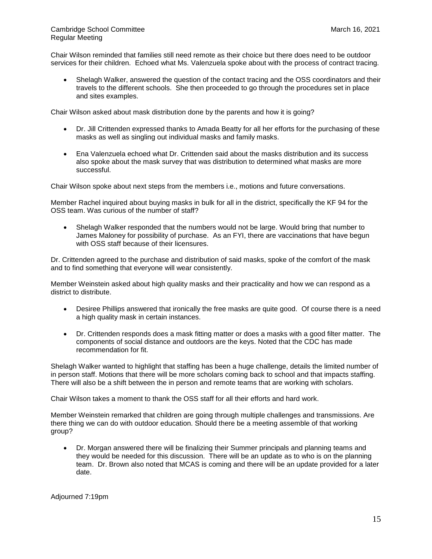Chair Wilson reminded that families still need remote as their choice but there does need to be outdoor services for their children. Echoed what Ms. Valenzuela spoke about with the process of contract tracing.

• Shelagh Walker, answered the question of the contact tracing and the OSS coordinators and their travels to the different schools. She then proceeded to go through the procedures set in place and sites examples.

Chair Wilson asked about mask distribution done by the parents and how it is going?

- Dr. Jill Crittenden expressed thanks to Amada Beatty for all her efforts for the purchasing of these masks as well as singling out individual masks and family masks.
- Ena Valenzuela echoed what Dr. Crittenden said about the masks distribution and its success also spoke about the mask survey that was distribution to determined what masks are more successful.

Chair Wilson spoke about next steps from the members i.e., motions and future conversations.

Member Rachel inquired about buying masks in bulk for all in the district, specifically the KF 94 for the OSS team. Was curious of the number of staff?

• Shelagh Walker responded that the numbers would not be large. Would bring that number to James Maloney for possibility of purchase. As an FYI, there are vaccinations that have begun with OSS staff because of their licensures.

Dr. Crittenden agreed to the purchase and distribution of said masks, spoke of the comfort of the mask and to find something that everyone will wear consistently.

Member Weinstein asked about high quality masks and their practicality and how we can respond as a district to distribute.

- Desiree Phillips answered that ironically the free masks are quite good. Of course there is a need a high quality mask in certain instances.
- Dr. Crittenden responds does a mask fitting matter or does a masks with a good filter matter. The components of social distance and outdoors are the keys. Noted that the CDC has made recommendation for fit.

Shelagh Walker wanted to highlight that staffing has been a huge challenge, details the limited number of in person staff. Motions that there will be more scholars coming back to school and that impacts staffing. There will also be a shift between the in person and remote teams that are working with scholars.

Chair Wilson takes a moment to thank the OSS staff for all their efforts and hard work.

Member Weinstein remarked that children are going through multiple challenges and transmissions. Are there thing we can do with outdoor education. Should there be a meeting assemble of that working group?

• Dr. Morgan answered there will be finalizing their Summer principals and planning teams and they would be needed for this discussion. There will be an update as to who is on the planning team. Dr. Brown also noted that MCAS is coming and there will be an update provided for a later date.

Adjourned 7:19pm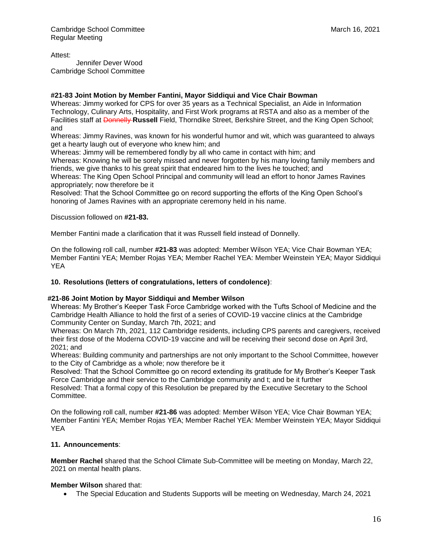Attest:

 Jennifer Dever Wood Cambridge School Committee

## **#21-83 Joint Motion by Member Fantini, Mayor Siddiqui and Vice Chair Bowman**

Whereas: Jimmy worked for CPS for over 35 years as a Technical Specialist, an Aide in Information Technology, Culinary Arts, Hospitality, and First Work programs at RSTA and also as a member of the Facilities staff at Donnelly **Russell** Field, Thorndike Street, Berkshire Street, and the King Open School; and

Whereas: Jimmy Ravines, was known for his wonderful humor and wit, which was guaranteed to always get a hearty laugh out of everyone who knew him; and

Whereas: Jimmy will be remembered fondly by all who came in contact with him; and

Whereas: Knowing he will be sorely missed and never forgotten by his many loving family members and friends, we give thanks to his great spirit that endeared him to the lives he touched; and

Whereas: The King Open School Principal and community will lead an effort to honor James Ravines appropriately; now therefore be it

Resolved: That the School Committee go on record supporting the efforts of the King Open School's honoring of James Ravines with an appropriate ceremony held in his name.

Discussion followed on **#21-83.**

Member Fantini made a clarification that it was Russell field instead of Donnelly.

On the following roll call, number **#21-83** was adopted: Member Wilson YEA; Vice Chair Bowman YEA; Member Fantini YEA; Member Rojas YEA; Member Rachel YEA: Member Weinstein YEA; Mayor Siddiqui YEA

## **10. Resolutions (letters of congratulations, letters of condolence)**:

## **#21-86 Joint Motion by Mayor Siddiqui and Member Wilson**

Whereas: My Brother's Keeper Task Force Cambridge worked with the Tufts School of Medicine and the Cambridge Health Alliance to hold the first of a series of COVID-19 vaccine clinics at the Cambridge Community Center on Sunday, March 7th, 2021; and

Whereas: On March 7th, 2021, 112 Cambridge residents, including CPS parents and caregivers, received their first dose of the Moderna COVID-19 vaccine and will be receiving their second dose on April 3rd, 2021; and

Whereas: Building community and partnerships are not only important to the School Committee, however to the City of Cambridge as a whole; now therefore be it

Resolved: That the School Committee go on record extending its gratitude for My Brother's Keeper Task Force Cambridge and their service to the Cambridge community and t; and be it further

Resolved: That a formal copy of this Resolution be prepared by the Executive Secretary to the School Committee.

On the following roll call, number **#21-86** was adopted: Member Wilson YEA; Vice Chair Bowman YEA; Member Fantini YEA; Member Rojas YEA; Member Rachel YEA: Member Weinstein YEA; Mayor Siddiqui YEA

## **11. Announcements**:

**Member Rachel** shared that the School Climate Sub-Committee will be meeting on Monday, March 22, 2021 on mental health plans.

## **Member Wilson** shared that:

• The Special Education and Students Supports will be meeting on Wednesday, March 24, 2021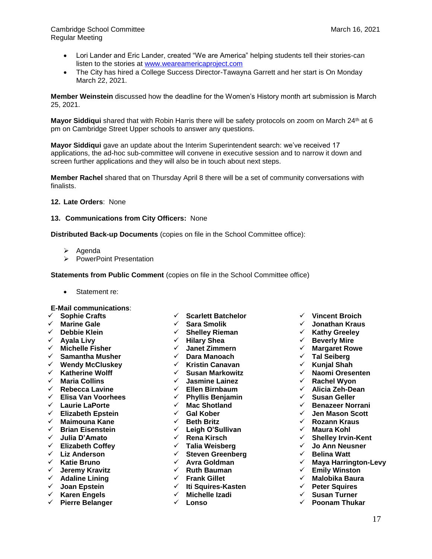- Lori Lander and Eric Lander, created "We are America" helping students tell their stories-can listen to the stories at [www.weareamericaproject.com](http://www.weareamericaproject.com/)
- The City has hired a College Success Director-Tawayna Garrett and her start is On Monday March 22, 2021.

**Member Weinstein** discussed how the deadline for the Women's History month art submission is March 25, 2021.

**Mayor Siddiqui** shared that with Robin Harris there will be safety protocols on zoom on March 24<sup>th</sup> at 6 pm on Cambridge Street Upper schools to answer any questions.

**Mayor Siddiqui** gave an update about the Interim Superintendent search: we've received 17 applications, the ad-hoc sub-committee will convene in executive session and to narrow it down and screen further applications and they will also be in touch about next steps.

**Member Rachel** shared that on Thursday April 8 there will be a set of community conversations with finalists.

**12. Late Orders**: None

#### **13. Communications from City Officers:** None

**Distributed Back-up Documents** (copies on file in the School Committee office):

- ➢ Agenda
- ➢ PowerPoint Presentation

**Statements from Public Comment** (copies on file in the School Committee office)

• Statement re:

#### **E-Mail communications**:

- ✓ **Sophie Crafts**
- ✓ **Marine Gale**
- ✓ **Debbie Klein**
- ✓ **Ayala Livy**
- ✓ **Michelle Fisher**
- ✓ **Samantha Musher**
- ✓ **Wendy McCluskey**
- ✓ **Katherine Wolff**
- ✓ **Maria Collins**
- ✓ **Rebecca Lavine**
- ✓ **Elisa Van Voorhees**
- ✓ **Laurie LaPorte**
- ✓ **Elizabeth Epstein**
- ✓ **Maimouna Kane**
- ✓ **Brian Eisenstein**
- ✓ **Julia D'Amato**
- ✓ **Elizabeth Coffey**
- ✓ **Liz Anderson**
- ✓ **Katie Bruno**
- ✓ **Jeremy Kravitz**
- ✓ **Adaline Lining**
- ✓ **Joan Epstein**
- ✓ **Karen Engels**
- ✓ **Pierre Belanger**
- ✓ **Scarlett Batchelor**
- ✓ **Sara Smolik**
- ✓ **Shelley Rieman**
- ✓ **Hilary Shea**
- ✓ **Janet Zimmern**
- ✓ **Dara Manoach**
	- ✓ **Kristin Canavan**
	- ✓ **Susan Markowitz**
	- ✓ **Jasmine Lainez**
	- ✓ **Ellen Birnbaum**
	- ✓ **Phyllis Benjamin**
	- ✓ **Mac Shotland**
	- ✓ **Gal Kober**
	- ✓ **Beth Britz**
	- ✓ **Leigh O'Sullivan**
	- ✓ **Rena Kirsch**
	- ✓ **Talia Weisberg**
	- ✓ **Steven Greenberg**
	- ✓ **Avra Goldman**
	- ✓ **Ruth Bauman**
	- ✓ **Frank Gillet**
	- ✓ **Iti Squires-Kasten**
	- ✓ **Michelle Izadi**
	- ✓ **Lonso**
- ✓ **Vincent Broich**
- ✓ **Jonathan Kraus**
- ✓ **Kathy Greeley**
- ✓ **Beverly Mire**
- ✓ **Margaret Rowe**
- ✓ **Tal Seiberg**
- ✓ **Kunjal Shah**
- ✓ **Naomi Oresenten**
- ✓ **Rachel Wyon**
- ✓ **Alicia Zeh-Dean**
- ✓ **Susan Geller**
- ✓ **Benazeer Norrani**
- ✓ **Jen Mason Scott**
- ✓ **Rozann Kraus**
- ✓ **Maura Kohl**
- ✓ **Shelley Irvin-Kent**
- ✓ **Jo Ann Neusner**
- ✓ **Belina Watt**
- ✓ **Maya Harrington-Levy**
- ✓ **Emily Winston**
- ✓ **Malobika Baura**
- ✓ **Peter Squires**
- ✓ **Susan Turner**
- ✓ **Poonam Thukar**